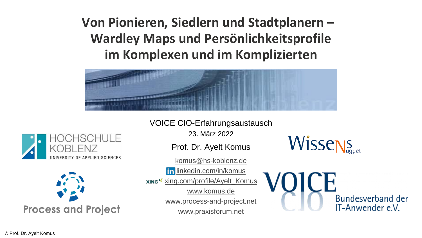**Von Pionieren, Siedlern und Stadtplanern – Wardley Maps und Persönlichkeitsprofile im Komplexen und im Komplizierten**



VOICE CIO-Erfahrungsaustausch





23. März 2022

Prof. Dr. Ayelt Komus

[komus@hs-koblenz.de](mailto:komus@hs-koblenz.de)

in linkedin.com/in/komus

xing.com/profile/Ayelt\_Komus

[www.komus.de](http://www.komus.de/) [www.process-and-project.net](http://www.process-and-project.net/) [www.praxisforum.net](http://www.praxisforum.net/)

**Wissens** 

Bundesverband der IT-Anwender e.V.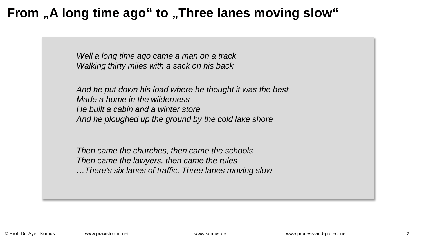### **From** ,,A long time ago" to ,,Three lanes moving slow"

*Well a long time ago came a man on a track Walking thirty miles with a sack on his back*

*And he put down his load where he thought it was the best Made a home in the wilderness He built a cabin and a winter store And he ploughed up the ground by the cold lake shore*

*Then came the churches, then came the schools Then came the lawyers, then came the rules …There's six lanes of traffic, Three lanes moving slow*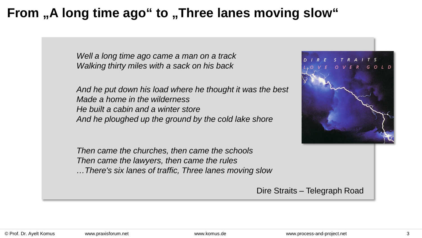### **From** , a long time ago" to , Three lanes moving slow"

*Well a long time ago came a man on a track Walking thirty miles with a sack on his back*

*And he put down his load where he thought it was the best Made a home in the wilderness He built a cabin and a winter store And he ploughed up the ground by the cold lake shore*



*Then came the churches, then came the schools Then came the lawyers, then came the rules …There's six lanes of traffic, Three lanes moving slow*

Dire Straits – Telegraph Road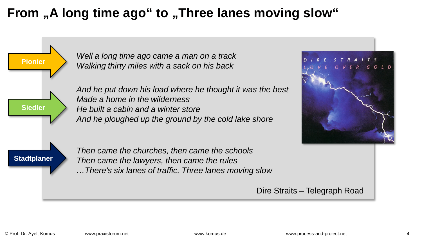# **From** , a long time ago" to , Three lanes moving slow"

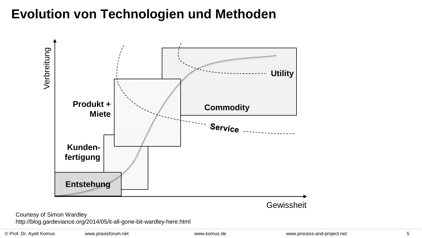### **Evolution von Technologien und Methoden**



**Gewissheit** 

Courtesy of Simon Wardley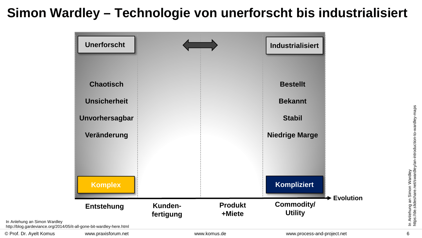## **Simon Wardley – Technologie von unerforscht bis industrialisiert**

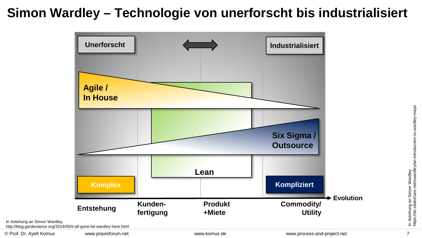## **Simon Wardley – Technologie von unerforscht bis industrialisiert**



© Prof. Dr. Ayelt Komus www.praxisforum.net www.komus.de www.process-and-project.net 7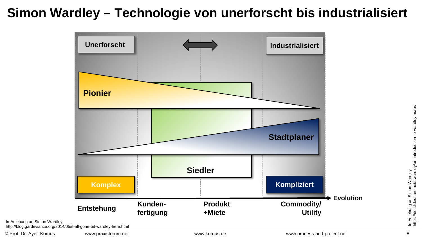## **Simon Wardley – Technologie von unerforscht bis industrialisiert**

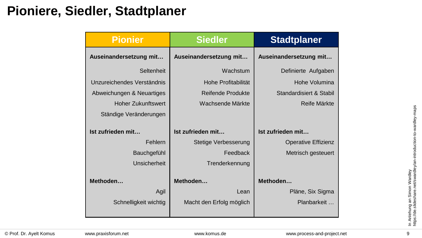#### **Pioniere, Siedler, Stadtplaner**

| <b>Pionier</b>             | <b>Siedler</b>           | <b>Stadtplaner</b>                 |
|----------------------------|--------------------------|------------------------------------|
| Auseinandersetzung mit     | Auseinandersetzung mit   | Auseinandersetzung mit             |
| Seltenheit                 | Wachstum                 | Definierte Aufgaben                |
| Unzureichendes Verständnis | Hohe Profitabilität      | Hohe Volumina                      |
| Abweichungen & Neuartiges  | <b>Reifende Produkte</b> | <b>Standardisiert &amp; Stabil</b> |
| Hoher Zukunftswert         | Wachsende Märkte         | Reife Märkte                       |
| Ständige Veränderungen     |                          |                                    |
| Ist zufrieden mit          | Ist zufrieden mit        | Ist zufrieden mit                  |
| Fehlern                    | Stetige Verbesserung     | <b>Operative Effizienz</b>         |
| Bauchgefühl                | Feedback                 | Metrisch gesteuert                 |
| Unsicherheit               | Trenderkennung           |                                    |
| Methoden                   | Methoden                 | Methoden                           |
|                            |                          |                                    |
| Agil                       | Lean                     | Pläne, Six Sigma                   |
| Schnelligkeit wichtig      | Macht den Erfolg möglich | Planbarkeit                        |
|                            |                          |                                    |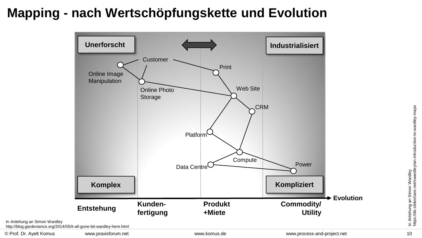# **Mapping - nach Wertschöpfungskette und Evolution**



© Prof. Dr. Ayelt Komus www.praxisforum.net www.komus.de www.process-and-project.net 10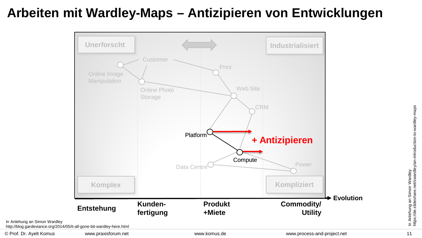## **Arbeiten mit Wardley-Maps – Antizipieren von Entwicklungen**

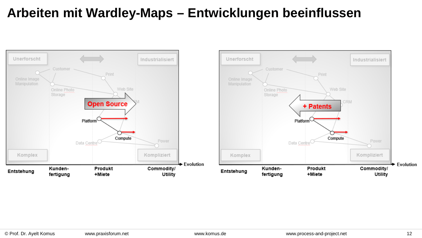## **Arbeiten mit Wardley-Maps – Entwicklungen beeinflussen**

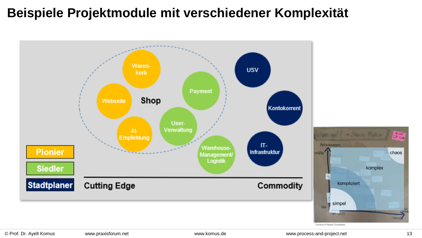### **Beispiele Projektmodule mit verschiedener Komplexität**



Courtesy of Heupel Consultants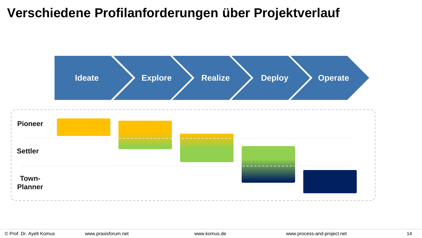### **Verschiedene Profilanforderungen über Projektverlauf**

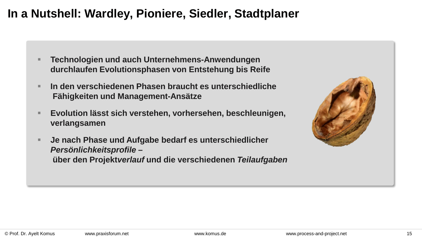#### **In a Nutshell: Wardley, Pioniere, Siedler, Stadtplaner**

- **Technologien und auch Unternehmens-Anwendungen durchlaufen Evolutionsphasen von Entstehung bis Reife**
- **In den verschiedenen Phasen braucht es unterschiedliche Fähigkeiten und Management-Ansätze**
- **Evolution lässt sich verstehen, vorhersehen, beschleunigen, verlangsamen**
- **Je nach Phase und Aufgabe bedarf es unterschiedlicher**  *Persönlichkeitsprofile* **– über den Projekt***verlauf* **und die verschiedenen** *Teilaufgaben*